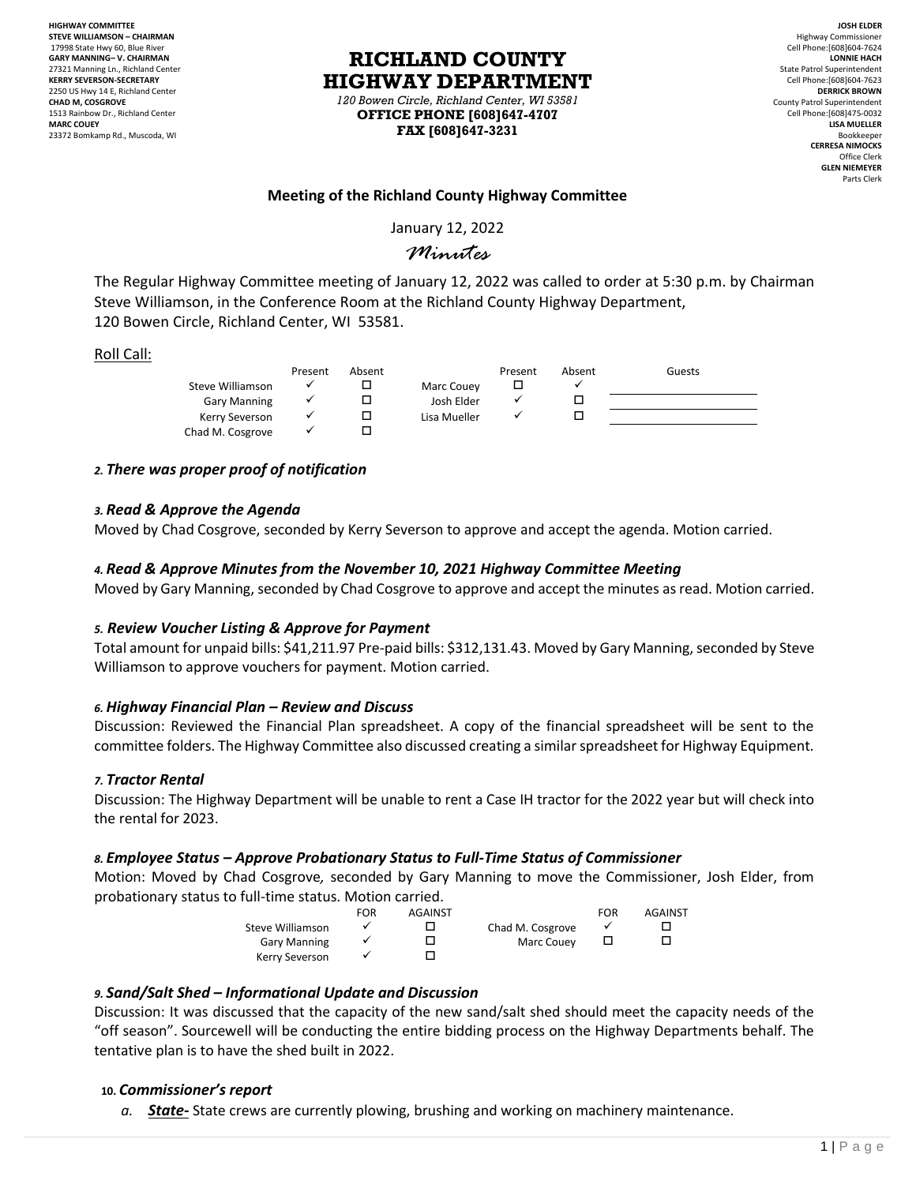**HIGHWAY COMMITTEE STEVE WILLIAMSON – CHAIRMAN** 17998 State Hwy 60, Blue River **GARY MANNING– V. CHAIRMAN** 27321 Manning Ln., Richland Center **KERRY SEVERSON-SECRETARY** 2250 US Hwy 14 E, Richland Center **CHAD M, COSGROVE** 1513 Rainbow Dr., Richland Center **MARC COUEY** 23372 Bomkamp Rd., Muscoda, WI

# **RICHLAND COUNTY HIGHWAY DEPARTMENT**

*120 Bowen Circle, Richland Center, WI 53581* **OFFICE PHONE [608]647-4707 FAX [608]647-3231**

**JOSH ELDER** Highway Commissioner Cell Phone:[608]604-7624 **LONNIE HACH** State Patrol Superintendent Cell Phone:[608]604-7623 **DERRICK BROWN** County Patrol Superintendent Cell Phone:[608]475-0032 **LISA MUELLER** Bookkeeper **CERRESA NIMOCKS** Office Clerk **GLEN NIEMEYER** Parts Clerk

# **Meeting of the Richland County Highway Committee**

January 12, 2022

# *Minutes*

The Regular Highway Committee meeting of January 12, 2022 was called to order at 5:30 p.m. by Chairman Steve Williamson, in the Conference Room at the Richland County Highway Department, 120 Bowen Circle, Richland Center, WI 53581.

#### Roll Call:

|                     | Present | Absent |              | Present | Absent | Guests |
|---------------------|---------|--------|--------------|---------|--------|--------|
| Steve Williamson    |         |        | Marc Couey   |         |        |        |
| <b>Gary Manning</b> |         |        | Josh Elder   |         |        |        |
| Kerry Severson      |         |        | Lisa Mueller |         |        |        |
| Chad M. Cosgrove    |         |        |              |         |        |        |

## *2. There was proper proof of notification*

#### *3. Read & Approve the Agenda*

Moved by Chad Cosgrove, seconded by Kerry Severson to approve and accept the agenda. Motion carried.

## *4. Read & Approve Minutes from the November 10, 2021 Highway Committee Meeting*

Moved by Gary Manning, seconded by Chad Cosgrove to approve and accept the minutes as read. Motion carried.

#### *5. Review Voucher Listing & Approve for Payment*

Total amount for unpaid bills: \$41,211.97 Pre-paid bills: \$312,131.43. Moved by Gary Manning, seconded by Steve Williamson to approve vouchers for payment. Motion carried.

# *6. Highway Financial Plan – Review and Discuss*

Discussion: Reviewed the Financial Plan spreadsheet. A copy of the financial spreadsheet will be sent to the committee folders. The Highway Committee also discussed creating a similar spreadsheet for Highway Equipment.

#### *7. Tractor Rental*

Discussion: The Highway Department will be unable to rent a Case IH tractor for the 2022 year but will check into the rental for 2023.

#### *8. Employee Status – Approve Probationary Status to Full-Time Status of Commissioner*

Motion: Moved by Chad Cosgrove*,* seconded by Gary Manning to move the Commissioner, Josh Elder, from probationary status to full-time status. Motion carried.

|                     | FOR | <b>AGAINST</b> |                  | FOR | <b>AGAINST</b> |
|---------------------|-----|----------------|------------------|-----|----------------|
| Steve Williamson    |     |                | Chad M. Cosgrove |     |                |
| <b>Gary Manning</b> |     |                | Marc Couev       |     |                |
| Kerry Severson      |     |                |                  |     |                |

# *9. Sand/Salt Shed – Informational Update and Discussion*

Discussion: It was discussed that the capacity of the new sand/salt shed should meet the capacity needs of the "off season". Sourcewell will be conducting the entire bidding process on the Highway Departments behalf. The tentative plan is to have the shed built in 2022.

#### **10.** *Commissioner's report*

*a. State-* State crews are currently plowing, brushing and working on machinery maintenance.